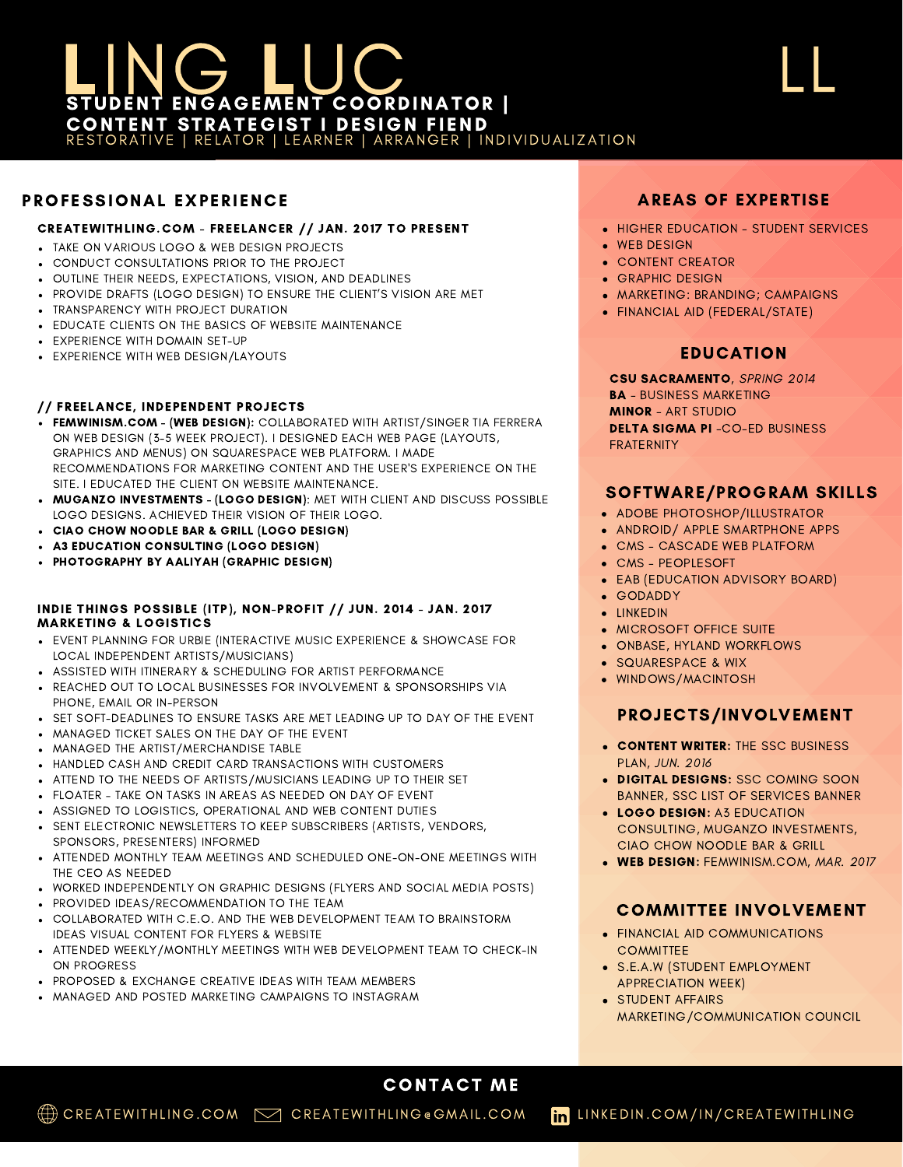# EING LUC CONTENT STRATEGIST I DESIGN FIEND RESTORATIVE | RELATOR | LEARNER | ARRANGER | INDIVIDUALIZATION

# PROFESSIONAL EXPERIENCE

### CREATEWITHLING.COM - FREELANCER // JAN. 2017 TO PRESENT

- TAKE ON VARIOUS LOGO & WEB DESIGN PROJECTS
- CONDUCT CONSULTATIONS PRIOR TO THE PROJECT
- OUTLINE THEIR NEEDS, EXPECTATIONS, VISION, AND DEADLINES
- . PROVIDE DRAFTS (LOGO DESIGN) TO ENSURE THE CLIENT'S VISION ARE MET
- **TRANSPARENCY WITH PROJECT DURATION**
- EDUCATE CLIENTS ON THE BASICS OF WEBSITE MAINTENANCE
- EXPERIENCE WITH DOMAIN SET-UP
- EXPERIENCE WITH WEB DESIGN/LAYOUTS

### // FREELANCE, INDEPENDENT PROJECTS

- . FEMWINISM.COM (WEB DESIGN): COLLABORATED WITH ARTIST/SINGER TIA FERRERA ON WEB DESIGN (3-5 WEEK PROJECT). I DESIGNED EACH WEB PAGE (LAYOUTS, GRAPHICS AND MENUS) ON SQUARESPACE WEB PLATFORM. I MADE RECOMMENDATIONS FOR MARKETING CONTENT AND THE USER'S EXPERIENCE ON THE SITE. I EDUCATED THE CLIENT ON WEBSITE MAINTENANCE.
- . MUGANZO INVESTMENTS (LOGO DESIGN): MET WITH CLIENT AND DISCUSS POSSIBLE LOGO DESIGNS. ACHIEVED THEIR VISION OF THEIR LOGO.
- CIAO CHOW NOODLE BAR & GRILL (LOGO DESIGN)
- A3 EDUCATION CONSULTING (LOGO DESIGN)
- PHOTOGRAPHY BY AALIYAH (GRAPHIC DESIGN)

#### INDIE THINGS POSSIBLE (ITP), NON-PROFIT // JUN. 2014 - JAN. 2017 MARKETING & LOGISTICS

- EVENT PLANNING FOR URBIE (INTERACTIVE MUSIC EXPERIENCE & SHOWCASE FOR LOCAL INDEPENDENT ARTISTS/MUSICIANS)
- ASSISTED WITH ITINERARY & SCHEDULING FOR ARTIST PERFORMANCE
- REACHED OUT TO LOCAL BUSINESSES FOR INVOLVEMENT & SPONSORSHIPS VIA PHONE, EMAIL OR IN-PERSON
- **SET SOFT-DEADLINES TO ENSURE TASKS ARE MET LEADING UP TO DAY OF THE EVENT**
- MANAGED TICKET SALES ON THE DAY OF THE EVENT
- MANAGED THE ARTIST/MERCHANDISE TABLE
- HANDLED CASH AND CREDIT CARD TRANSACTIONS WITH CUSTOMERS
- ATTEND TO THE NEEDS OF ARTISTS/MUSICIANS LEADING UP TO THEIR SET
- FLOATER TAKE ON TASKS IN AREAS AS NEEDED ON DAY OF EVENT
- ASSIGNED TO LOGISTICS, OPERATIONAL AND WEB CONTENT DUTIES
- **SENT ELECTRONIC NEWSLETTERS TO KEEP SUBSCRIBERS (ARTISTS, VENDORS,** SPONSORS, PRESENTERS) INFORMED
- ATTENDED MONTHLY TEAM MEETINGS AND SCHEDULED ONE-ON-ONE MEETINGS WITH THE CEO AS NEEDED
- WORKED INDEPENDENTLY ON GRAPHIC DESIGNS (FLYERS AND SOCIAL MEDIA POSTS)
- PROVIDED IDEAS/RECOMMENDATION TO THE TEAM
- COLLABORATED WITH C.E.O. AND THE WEB DEVELOPMENT TEAM TO BRAINSTORM IDEAS VISUAL CONTENT FOR FLYERS & WEBSITE
- ATTENDED WEEKLY/MONTHLY MEETINGS WITH WEB DEVELOPMENT TEAM TO CHECK-IN ON PROGRESS
- PROPOSED & EXCHANGE CREATIVE IDEAS WITH TEAM MEMBERS
- MANAGED AND POSTED MARKETING CAMPAIGNS TO INSTAGRAM

# AREAS OF EXPERTISE

LL

- **HIGHER EDUCATION STUDENT SERVICES**
- **WEB DESIGN**
- **CONTENT CREATOR**
- **GRAPHIC DESIGN**
- MARKETING: BRANDING; CAMPAIGNS
- FINANCIAL AID (FEDERAL/STATE)

# EDUCATION

CSU SACRAMENTO, SPRING 2014 BA - BUSINESS MARKETING MINOR - ART STUDIO DELTA SIGMA PI -CO-ED BUSINESS FRATERNITY

## SOFTWARE/PROGRAM SKILLS

- **ADOBE PHOTOSHOP/ILLUSTRATOR**
- ANDROID/ APPLE SMARTPHONE APPS
- CMS CASCADE WEB PLATFORM
- CMS PEOPLESOFT
- EAB (EDUCATION ADVISORY BOARD)
- GODADDY
- **.** IINKEDIN
- MICROSOFT OFFICE SUITE
- **.** ONBASE, HYLAND WORKFLOWS
- **.** SQUARESPACE & WIX
- WINDOWS/MACINTOSH

# PROJECTS/INVOLVEMENT

- **CONTENT WRITER: THE SSC BUSINESS** PLAN, JUN. 2016
- . DIGITAL DESIGNS: SSC COMING SOON BANNER, SSC LIST OF SERVICES BANNER
- LOGO DESIGN: A3 EDUCATION CONSULTING, MUGANZO INVESTMENTS, CIAO CHOW NOODLE BAR & GRILL
- WEB DESIGN: FEMWINISM.COM, MAR. 2017

## COMMITTEE INVOLVEMENT

- **FINANCIAL AID COMMUNICATIONS COMMITTEE**
- S.E.A.W (STUDENT EMPLOYMENT APPRECIATION WEEK)
- **STUDENT AFFAIRS** MARKETING/COMMUNICATION COUNCIL

# CONTACT ME

(†) CREATEWITHLING.COM <sub>D</sub>oreatewithling Gomail.com in Linkedin.com/in/Createwithling